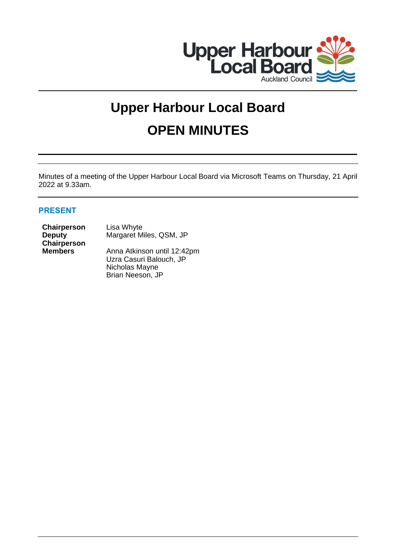

# **Upper Harbour Local Board OPEN MINUTES**

Minutes of a meeting of the Upper Harbour Local Board via Microsoft Teams on Thursday, 21 April 2022 at 9.33am.

# **PRESENT**

| Chairperson    | Lisa Whyte                  |  |
|----------------|-----------------------------|--|
| <b>Deputy</b>  | Margaret Miles, QSM, JP     |  |
| Chairperson    |                             |  |
| <b>Members</b> | Anna Atkinson until 12:42pm |  |
|                | Uzra Casuri Balouch, JP     |  |
|                | Nichalas Maries             |  |

Nicholas Mayne Brian Neeson, JP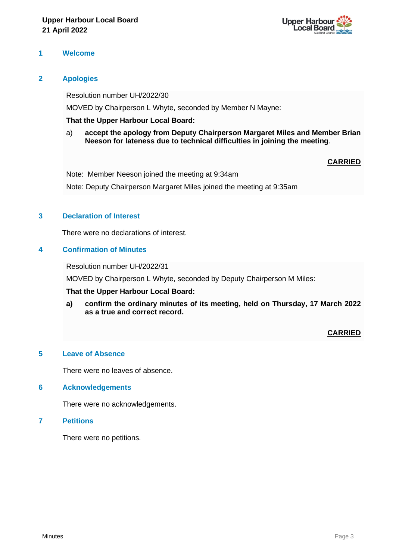

# **1 Welcome**

# **2 Apologies**

Resolution number UH/2022/30

MOVED by Chairperson L Whyte, seconded by Member N Mayne:

# **That the Upper Harbour Local Board:**

a) **accept the apology from Deputy Chairperson Margaret Miles and Member Brian Neeson for lateness due to technical difficulties in joining the meeting**.

# **CARRIED**

Note: Member Neeson joined the meeting at 9:34am Note: Deputy Chairperson Margaret Miles joined the meeting at 9:35am

# **3 Declaration of Interest**

There were no declarations of interest.

# **4 Confirmation of Minutes**

Resolution number UH/2022/31

MOVED by Chairperson L Whyte, seconded by Deputy Chairperson M Miles:

# **That the Upper Harbour Local Board:**

**a) confirm the ordinary minutes of its meeting, held on Thursday, 17 March 2022 as a true and correct record.**

# **CARRIED**

# **5 Leave of Absence**

There were no leaves of absence.

## **6 Acknowledgements**

There were no acknowledgements.

## **7 Petitions**

There were no petitions.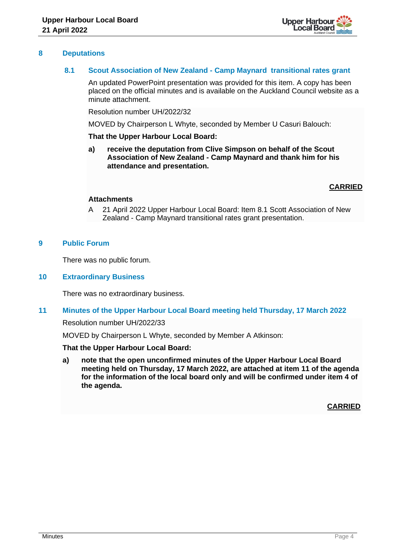

## **8 Deputations**

## **8.1 Scout Association of New Zealand - Camp Maynard transitional rates grant**

An updated PowerPoint presentation was provided for this item. A copy has been placed on the official minutes and is available on the Auckland Council website as a minute attachment.

Resolution number UH/2022/32

MOVED by Chairperson L Whyte, seconded by Member U Casuri Balouch:

## **That the Upper Harbour Local Board:**

**a) receive the deputation from Clive Simpson on behalf of the Scout Association of New Zealand - Camp Maynard and thank him for his attendance and presentation.**

## **CARRIED**

## **Attachments**

A 21 April 2022 Upper Harbour Local Board: Item 8.1 Scott Association of New Zealand - Camp Maynard transitional rates grant presentation.

## **9 Public Forum**

There was no public forum.

## **10 Extraordinary Business**

There was no extraordinary business.

## **11 Minutes of the Upper Harbour Local Board meeting held Thursday, 17 March 2022**

Resolution number UH/2022/33

MOVED by Chairperson L Whyte, seconded by Member A Atkinson:

#### **That the Upper Harbour Local Board:**

**a) note that the open unconfirmed minutes of the Upper Harbour Local Board meeting held on Thursday, 17 March 2022, are attached at item 11 of the agenda for the information of the local board only and will be confirmed under item 4 of the agenda.**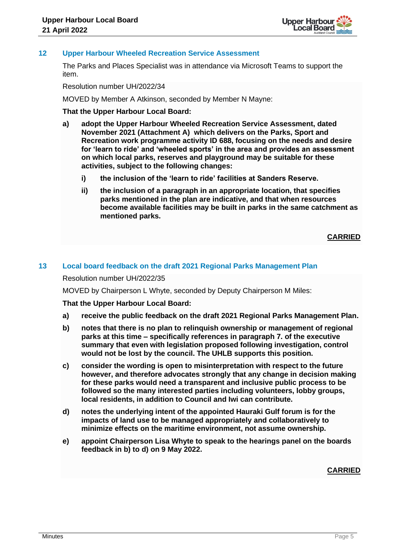

# **12 Upper Harbour Wheeled Recreation Service Assessment**

The Parks and Places Specialist was in attendance via Microsoft Teams to support the item.

Resolution number UH/2022/34

MOVED by Member A Atkinson, seconded by Member N Mayne:

## **That the Upper Harbour Local Board:**

- **a) adopt the Upper Harbour Wheeled Recreation Service Assessment, dated November 2021 (Attachment A) which delivers on the Parks, Sport and Recreation work programme activity ID 688, focusing on the needs and desire for 'learn to ride' and 'wheeled sports' in the area and provides an assessment on which local parks, reserves and playground may be suitable for these activities, subject to the following changes:**
	- **i) the inclusion of the 'learn to ride' facilities at Sanders Reserve.**
	- **ii) the inclusion of a paragraph in an appropriate location, that specifies parks mentioned in the plan are indicative, and that when resources become available facilities may be built in parks in the same catchment as mentioned parks.**

**CARRIED**

## **13 Local board feedback on the draft 2021 Regional Parks Management Plan**

Resolution number UH/2022/35

MOVED by Chairperson L Whyte, seconded by Deputy Chairperson M Miles:

**That the Upper Harbour Local Board:**

- **a) receive the public feedback on the draft 2021 Regional Parks Management Plan.**
- **b) notes that there is no plan to relinquish ownership or management of regional parks at this time – specifically references in paragraph 7. of the executive summary that even with legislation proposed following investigation, control would not be lost by the council. The UHLB supports this position.**
- **c) consider the wording is open to misinterpretation with respect to the future however, and therefore advocates strongly that any change in decision making for these parks would need a transparent and inclusive public process to be followed so the many interested parties including volunteers, lobby groups, local residents, in addition to Council and Iwi can contribute.**
- **d) notes the underlying intent of the appointed Hauraki Gulf forum is for the impacts of land use to be managed appropriately and collaboratively to minimize effects on the maritime environment, not assume ownership.**
- **e) appoint Chairperson Lisa Whyte to speak to the hearings panel on the boards feedback in b) to d) on 9 May 2022.**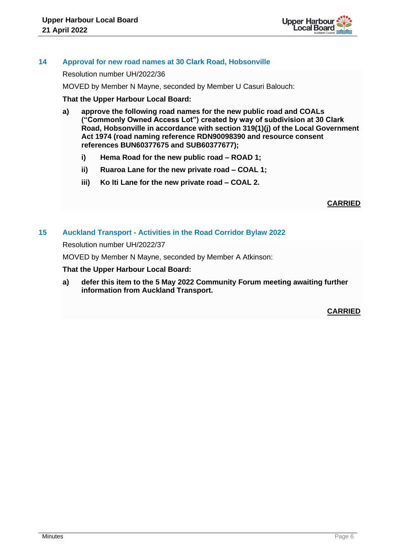

# **14 Approval for new road names at 30 Clark Road, Hobsonville**

Resolution number UH/2022/36

MOVED by Member N Mayne, seconded by Member U Casuri Balouch:

**That the Upper Harbour Local Board:**

- **a) approve the following road names for the new public road and COALs ("Commonly Owned Access Lot") created by way of subdivision at 30 Clark Road, Hobsonville in accordance with section 319(1)(j) of the Local Government Act 1974 (road naming reference RDN90098390 and resource consent references BUN60377675 and SUB60377677);**
	- **i) Hema Road for the new public road – ROAD 1;**
	- **ii) Ruaroa Lane for the new private road – COAL 1;**
	- **iii) Ko Iti Lane for the new private road – COAL 2.**

**CARRIED**

## **15 Auckland Transport - Activities in the Road Corridor Bylaw 2022**

Resolution number UH/2022/37

MOVED by Member N Mayne, seconded by Member A Atkinson:

#### **That the Upper Harbour Local Board:**

**a) defer this item to the 5 May 2022 Community Forum meeting awaiting further information from Auckland Transport.**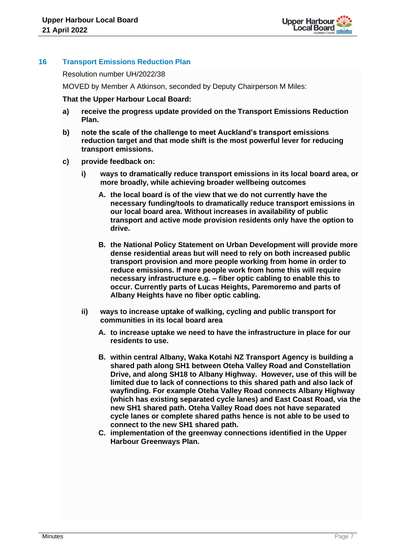

# **16 Transport Emissions Reduction Plan**

Resolution number UH/2022/38

MOVED by Member A Atkinson, seconded by Deputy Chairperson M Miles:

**That the Upper Harbour Local Board:**

- **a) receive the progress update provided on the Transport Emissions Reduction Plan.**
- **b) note the scale of the challenge to meet Auckland's transport emissions reduction target and that mode shift is the most powerful lever for reducing transport emissions.**
- **c) provide feedback on:**
	- **i) ways to dramatically reduce transport emissions in its local board area, or more broadly, while achieving broader wellbeing outcomes**
		- **A. the local board is of the view that we do not currently have the necessary funding/tools to dramatically reduce transport emissions in our local board area. Without increases in availability of public transport and active mode provision residents only have the option to drive.**
		- **B. the National Policy Statement on Urban Development will provide more dense residential areas but will need to rely on both increased public transport provision and more people working from home in order to reduce emissions. If more people work from home this will require necessary infrastructure e.g. – fiber optic cabling to enable this to occur. Currently parts of Lucas Heights, Paremoremo and parts of Albany Heights have no fiber optic cabling.**
	- **ii) ways to increase uptake of walking, cycling and public transport for communities in its local board area**
		- **A. to increase uptake we need to have the infrastructure in place for our residents to use.**
		- **B. within central Albany, Waka Kotahi NZ Transport Agency is building a shared path along SH1 between Oteha Valley Road and Constellation Drive, and along SH18 to Albany Highway. However, use of this will be limited due to lack of connections to this shared path and also lack of wayfinding. For example Oteha Valley Road connects Albany Highway (which has existing separated cycle lanes) and East Coast Road, via the new SH1 shared path. Oteha Valley Road does not have separated cycle lanes or complete shared paths hence is not able to be used to connect to the new SH1 shared path.**
		- **C. implementation of the greenway connections identified in the Upper Harbour Greenways Plan.**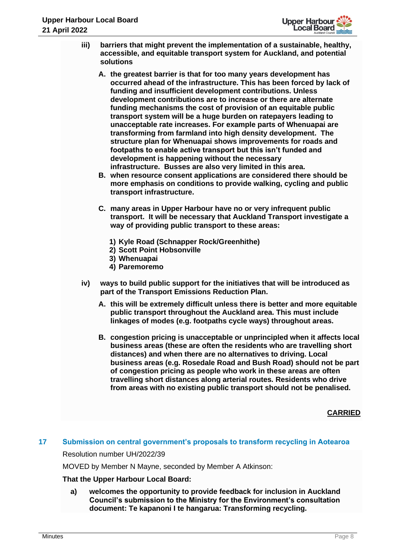

- **iii) barriers that might prevent the implementation of a sustainable, healthy, accessible, and equitable transport system for Auckland, and potential solutions**
	- **A. the greatest barrier is that for too many years development has occurred ahead of the infrastructure. This has been forced by lack of funding and insufficient development contributions. Unless development contributions are to increase or there are alternate funding mechanisms the cost of provision of an equitable public transport system will be a huge burden on ratepayers leading to unacceptable rate increases. For example parts of Whenuapai are transforming from farmland into high density development. The structure plan for Whenuapai shows improvements for roads and footpaths to enable active transport but this isn't funded and development is happening without the necessary infrastructure. Busses are also very limited in this area.**
	- **B. when resource consent applications are considered there should be more emphasis on conditions to provide walking, cycling and public transport infrastructure.**
	- **C. many areas in Upper Harbour have no or very infrequent public transport. It will be necessary that Auckland Transport investigate a way of providing public transport to these areas:**
		- **1) Kyle Road (Schnapper Rock/Greenhithe)**
		- **2) Scott Point Hobsonville**
		- **3) Whenuapai**
		- **4) Paremoremo**
- **iv) ways to build public support for the initiatives that will be introduced as part of the Transport Emissions Reduction Plan.** 
	- **A. this will be extremely difficult unless there is better and more equitable public transport throughout the Auckland area. This must include linkages of modes (e.g. footpaths cycle ways) throughout areas.**
	- **B. congestion pricing is unacceptable or unprincipled when it affects local business areas (these are often the residents who are travelling short distances) and when there are no alternatives to driving. Local business areas (e.g. Rosedale Road and Bush Road) should not be part of congestion pricing as people who work in these areas are often travelling short distances along arterial routes. Residents who drive from areas with no existing public transport should not be penalised.**

# **CARRIED**

# **17 Submission on central government's proposals to transform recycling in Aotearoa**

Resolution number UH/2022/39

MOVED by Member N Mayne, seconded by Member A Atkinson:

# **That the Upper Harbour Local Board:**

**a) welcomes the opportunity to provide feedback for inclusion in Auckland Council's submission to the Ministry for the Environment's consultation document: Te kapanoni I te hangarua: Transforming recycling.**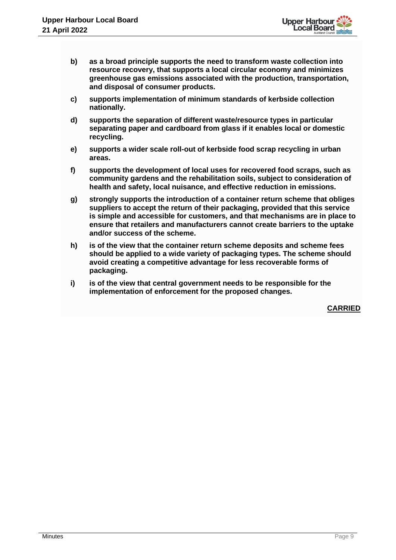

- **b) as a broad principle supports the need to transform waste collection into resource recovery, that supports a local circular economy and minimizes greenhouse gas emissions associated with the production, transportation, and disposal of consumer products.**
- **c) supports implementation of minimum standards of kerbside collection nationally.**
- **d) supports the separation of different waste/resource types in particular separating paper and cardboard from glass if it enables local or domestic recycling.**
- **e) supports a wider scale roll-out of kerbside food scrap recycling in urban areas.**
- **f) supports the development of local uses for recovered food scraps, such as community gardens and the rehabilitation soils, subject to consideration of health and safety, local nuisance, and effective reduction in emissions.**
- **g) strongly supports the introduction of a container return scheme that obliges suppliers to accept the return of their packaging, provided that this service is simple and accessible for customers, and that mechanisms are in place to ensure that retailers and manufacturers cannot create barriers to the uptake and/or success of the scheme.**
- **h) is of the view that the container return scheme deposits and scheme fees should be applied to a wide variety of packaging types. The scheme should avoid creating a competitive advantage for less recoverable forms of packaging.**
- **i) is of the view that central government needs to be responsible for the implementation of enforcement for the proposed changes.**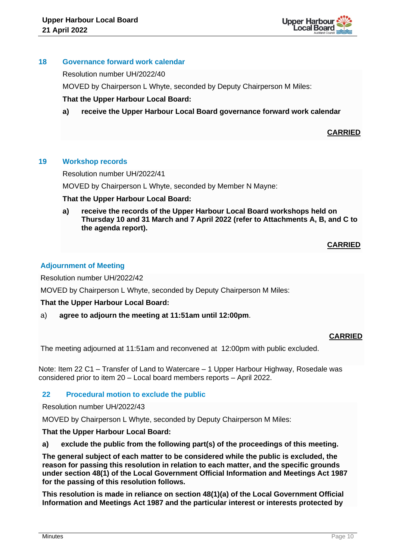

## **18 Governance forward work calendar**

Resolution number UH/2022/40

MOVED by Chairperson L Whyte, seconded by Deputy Chairperson M Miles:

# **That the Upper Harbour Local Board:**

**a) receive the Upper Harbour Local Board governance forward work calendar** 

# **CARRIED**

# **19 Workshop records**

Resolution number UH/2022/41

MOVED by Chairperson L Whyte, seconded by Member N Mayne:

**That the Upper Harbour Local Board:**

**a) receive the records of the Upper Harbour Local Board workshops held on Thursday 10 and 31 March and 7 April 2022 (refer to Attachments A, B, and C to the agenda report).**

**CARRIED**

# **Adjournment of Meeting**

Resolution number UH/2022/42

MOVED by Chairperson L Whyte, seconded by Deputy Chairperson M Miles:

# **That the Upper Harbour Local Board:**

a) **agree to adjourn the meeting at 11:51am until 12:00pm**.

# **CARRIED**

The meeting adjourned at 11:51am and reconvened at 12:00pm with public excluded.

Note: Item 22 C1 – Transfer of Land to Watercare – 1 Upper Harbour Highway, Rosedale was considered prior to item 20 – Local board members reports – April 2022.

# **22 Procedural motion to exclude the public**

Resolution number UH/2022/43

MOVED by Chairperson L Whyte, seconded by Deputy Chairperson M Miles:

**That the Upper Harbour Local Board:**

**a) exclude the public from the following part(s) of the proceedings of this meeting.**

**The general subject of each matter to be considered while the public is excluded, the reason for passing this resolution in relation to each matter, and the specific grounds under section 48(1) of the Local Government Official Information and Meetings Act 1987 for the passing of this resolution follows.**

**This resolution is made in reliance on section 48(1)(a) of the Local Government Official Information and Meetings Act 1987 and the particular interest or interests protected by**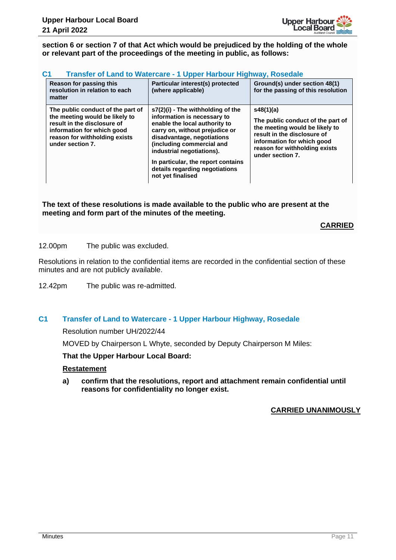

**section 6 or section 7 of that Act which would be prejudiced by the holding of the whole or relevant part of the proceedings of the meeting in public, as follows:**

| Reason for passing this<br>resolution in relation to each<br>matter                                                                                                                   | Particular interest(s) protected<br>(where applicable)                                                                                                                                                                                                                                                                   | Ground(s) under section 48(1)<br>for the passing of this resolution                                                                                                                                |
|---------------------------------------------------------------------------------------------------------------------------------------------------------------------------------------|--------------------------------------------------------------------------------------------------------------------------------------------------------------------------------------------------------------------------------------------------------------------------------------------------------------------------|----------------------------------------------------------------------------------------------------------------------------------------------------------------------------------------------------|
| The public conduct of the part of<br>the meeting would be likely to<br>result in the disclosure of<br>information for which good<br>reason for withholding exists<br>under section 7. | s7(2)(i) - The withholding of the<br>information is necessary to<br>enable the local authority to<br>carry on, without prejudice or<br>disadvantage, negotiations<br>(including commercial and<br>industrial negotiations).<br>In particular, the report contains<br>details regarding negotiations<br>not yet finalised | s48(1)(a)<br>The public conduct of the part of<br>the meeting would be likely to<br>result in the disclosure of<br>information for which good<br>reason for withholding exists<br>under section 7. |

**The text of these resolutions is made available to the public who are present at the meeting and form part of the minutes of the meeting.**

# **CARRIED**

12.00pm The public was excluded.

Resolutions in relation to the confidential items are recorded in the confidential section of these minutes and are not publicly available.

12.42pm The public was re-admitted.

## **C1 Transfer of Land to Watercare - 1 Upper Harbour Highway, Rosedale**

Resolution number UH/2022/44

MOVED by Chairperson L Whyte, seconded by Deputy Chairperson M Miles:

## **That the Upper Harbour Local Board:**

## **Restatement**

**a) confirm that the resolutions, report and attachment remain confidential until reasons for confidentiality no longer exist.**

## **CARRIED UNANIMOUSLY**